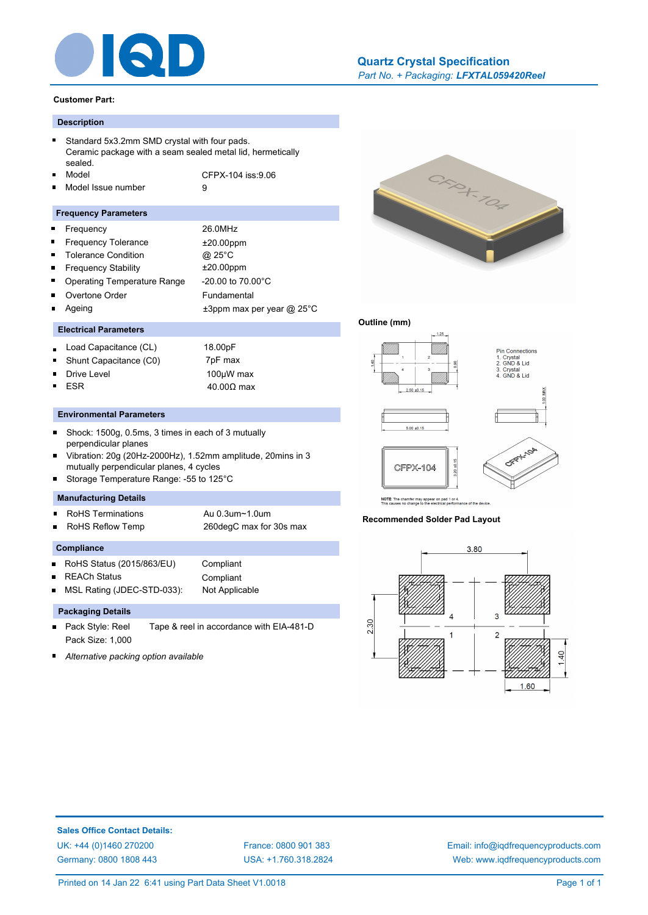

# *Part No. + Packaging: LFXTAL059420Reel* **[Quartz Crystal Specification](http://www.iqdfrequencyproducts.com/products/search/?type=tcxo-tcvcxo&model=All&product-features=All&package=All&frequency=All&frequency-uom=MHz&frequency-stability=All&temperature-range=All&output=All&voltage=All)**

#### **Customer Part:**

# **Description**

|  | Standard 5x3.2mm SMD crystal with four pads.<br>Ceramic package with a seam sealed metal lid, hermetically |                   |  |
|--|------------------------------------------------------------------------------------------------------------|-------------------|--|
|  |                                                                                                            |                   |  |
|  | sealed.                                                                                                    |                   |  |
|  | ■ Model                                                                                                    | CFPX-104 iss:9.06 |  |

Model Issue number 9

#### **Frequency Parameters**

| $\blacksquare$ | Frequency                          | 26.0MHz                       |
|----------------|------------------------------------|-------------------------------|
|                | <b>Frequency Tolerance</b>         | $±20.00$ ppm                  |
| $\blacksquare$ | <b>Tolerance Condition</b>         | @ 25°C                        |
| $\blacksquare$ | <b>Frequency Stability</b>         | $±20.00$ ppm                  |
| $\blacksquare$ | <b>Operating Temperature Range</b> | $-20.00$ to $70.00^{\circ}$ C |
|                | Overtone Order                     | Fundamental                   |
|                | Ageing                             | ±3ppm max per year @ 25°C     |
|                |                                    |                               |

## **Electrical Parameters**

- Load Capacitance (CL) 18.00pF  $\blacksquare$
- Shunt Capacitance (C0) 7pF max
- $\blacksquare$

 $\blacksquare$ 

Drive Level 100µW max ESR  $40.00Ω$  max

# **Environmental Parameters**

- $\blacksquare$ Shock: 1500g, 0.5ms, 3 times in each of 3 mutually perpendicular planes
- Vibration: 20g (20Hz-2000Hz), 1.52mm amplitude, 20mins in 3 mutually perpendicular planes, 4 cycles
- Storage Temperature Range: -55 to 125°C

# **Manufacturing Details**

- RoHS Terminations **Au 0.3um~1.0um**  $\blacksquare$
- RoHS Reflow Temp 260degC max for 30s max

#### **Compliance**

- RoHS Status (2015/863/EU) Compliant
- REACh Status Compliant

MSL Rating (JDEC-STD-033): Not Applicable

# **Packaging Details**

- Pack Style: Reel Tape & reel in accordance with EIA-481-D  $\blacksquare$ Pack Size: 1,000
- *Alternative packing option available*



## **Outline (mm)**



**Recommended Solder Pad Layout**



**Sales Office Contact Details:** [UK: +44 \(0\)1460 270200](http://www.iqdfrequencyproducts.co.uk) [France: 0800 901 383](http://www.iqdfrequencyproducts.fr) [Germany: 0800 1808 443](http://www.iqdfrequencyproducts.de)

[USA: +1.760.318.2824](http://www.iqdfrequencyproducts.com)

[Email: info@iqdfrequencyproducts.com](mailto:info@iqdfrequencyproducts.com) [Web: www.iqdfrequencyproducts.com](http://www.iqdfrequencyproducts.com)